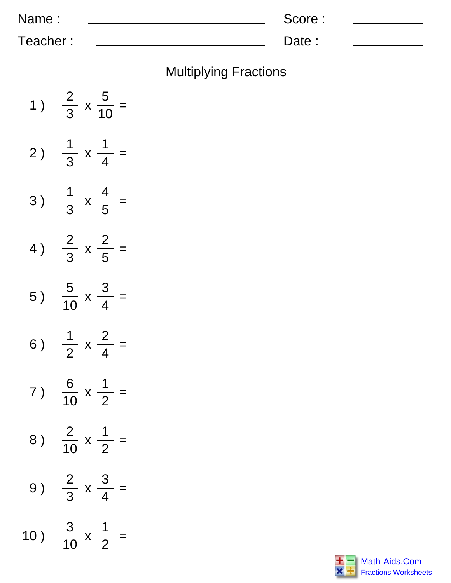| Name:    | Score: |  |
|----------|--------|--|
| Teacher: | Date:  |  |